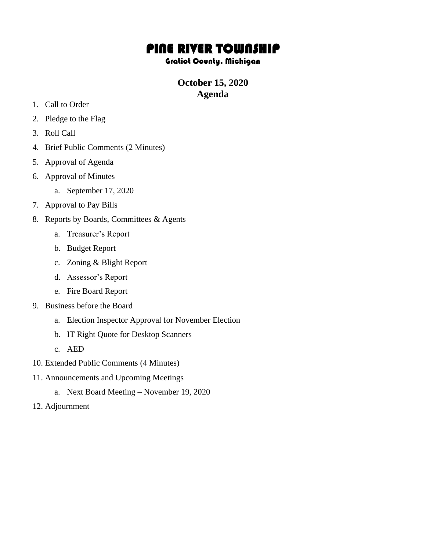## PINE RIVER TOWNSHIP

## Gratiot County, Michigan

## **October 15, 2020 Agenda**

- 1. Call to Order
- 2. Pledge to the Flag
- 3. Roll Call
- 4. Brief Public Comments (2 Minutes)
- 5. Approval of Agenda
- 6. Approval of Minutes
	- a. September 17, 2020
- 7. Approval to Pay Bills
- 8. Reports by Boards, Committees & Agents
	- a. Treasurer's Report
	- b. Budget Report
	- c. Zoning & Blight Report
	- d. Assessor's Report
	- e. Fire Board Report
- 9. Business before the Board
	- a. Election Inspector Approval for November Election
	- b. IT Right Quote for Desktop Scanners
	- c. AED
- 10. Extended Public Comments (4 Minutes)
- 11. Announcements and Upcoming Meetings
	- a. Next Board Meeting November 19, 2020
- 12. Adjournment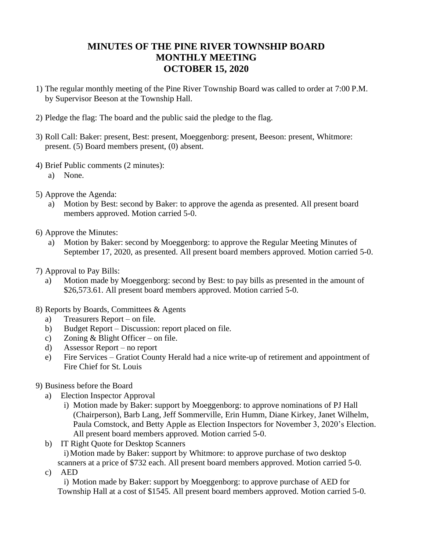## **MINUTES OF THE PINE RIVER TOWNSHIP BOARD MONTHLY MEETING OCTOBER 15, 2020**

- 1) The regular monthly meeting of the Pine River Township Board was called to order at 7:00 P.M. by Supervisor Beeson at the Township Hall.
- 2) Pledge the flag: The board and the public said the pledge to the flag.
- 3) Roll Call: Baker: present, Best: present, Moeggenborg: present, Beeson: present, Whitmore: present. (5) Board members present, (0) absent.
- 4) Brief Public comments (2 minutes):
	- a) None.
- 5) Approve the Agenda:
	- a) Motion by Best: second by Baker: to approve the agenda as presented. All present board members approved. Motion carried 5-0.
- 6) Approve the Minutes:
	- a) Motion by Baker: second by Moeggenborg: to approve the Regular Meeting Minutes of September 17, 2020, as presented. All present board members approved. Motion carried 5-0.
- 7) Approval to Pay Bills:
	- a) Motion made by Moeggenborg: second by Best: to pay bills as presented in the amount of \$26,573.61. All present board members approved. Motion carried 5-0.
- 8) Reports by Boards, Committees & Agents
	- a) Treasurers Report on file.
	- b) Budget Report Discussion: report placed on file.
	- c) Zoning & Blight Officer on file.
	- d) Assessor Report no report
	- e) Fire Services Gratiot County Herald had a nice write-up of retirement and appointment of Fire Chief for St. Louis
- 9) Business before the Board
	- a) Election Inspector Approval
		- i) Motion made by Baker: support by Moeggenborg: to approve nominations of PJ Hall (Chairperson), Barb Lang, Jeff Sommerville, Erin Humm, Diane Kirkey, Janet Wilhelm, Paula Comstock, and Betty Apple as Election Inspectors for November 3, 2020's Election. All present board members approved. Motion carried 5-0.
	- b) IT Right Quote for Desktop Scanners

i)Motion made by Baker: support by Whitmore: to approve purchase of two desktop

scanners at a price of \$732 each. All present board members approved. Motion carried 5-0. c) AED

i) Motion made by Baker: support by Moeggenborg: to approve purchase of AED for Township Hall at a cost of \$1545. All present board members approved. Motion carried 5-0.